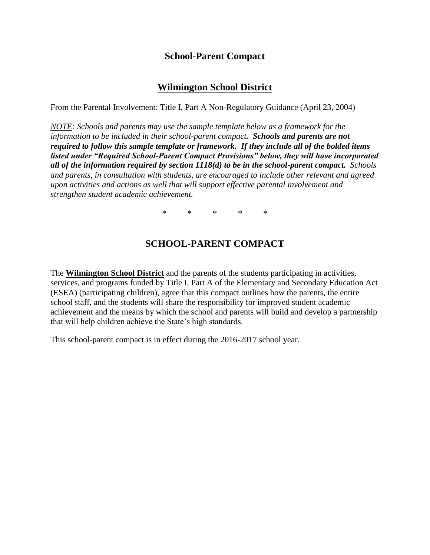## **School-Parent Compact**

## **Wilmington School District**

From the Parental Involvement: Title I, Part A Non-Regulatory Guidance (April 23, 2004)

*NOTE: Schools and parents may use the sample template below as a framework for the information to be included in their school-parent compact. Schools and parents are not required to follow this sample template or framework. If they include all of the bolded items listed under "Required School-Parent Compact Provisions" below, they will have incorporated all of the information required by section 1118(d) to be in the school-parent compact. Schools and parents, in consultation with students, are encouraged to include other relevant and agreed upon activities and actions as well that will support effective parental involvement and strengthen student academic achievement.* 

\* \* \* \* \*

# **SCHOOL-PARENT COMPACT**

The **Wilmington School District** and the parents of the students participating in activities, services, and programs funded by Title I, Part A of the Elementary and Secondary Education Act (ESEA) (participating children), agree that this compact outlines how the parents, the entire school staff, and the students will share the responsibility for improved student academic achievement and the means by which the school and parents will build and develop a partnership that will help children achieve the State's high standards.

This school-parent compact is in effect during the 2016-2017 school year.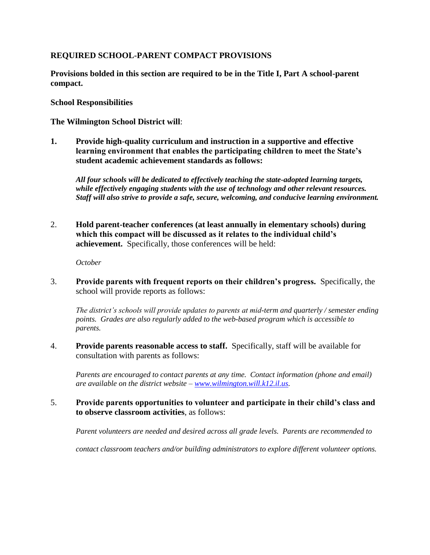## **REQUIRED SCHOOL-PARENT COMPACT PROVISIONS**

**Provisions bolded in this section are required to be in the Title I, Part A school-parent compact.**

**School Responsibilities**

**The Wilmington School District will**:

**1. Provide high-quality curriculum and instruction in a supportive and effective learning environment that enables the participating children to meet the State's student academic achievement standards as follows:**

*All four schools will be dedicated to effectively teaching the state-adopted learning targets, while effectively engaging students with the use of technology and other relevant resources. Staff will also strive to provide a safe, secure, welcoming, and conducive learning environment.*

2. **Hold parent-teacher conferences (at least annually in elementary schools) during which this compact will be discussed as it relates to the individual child's achievement.** Specifically, those conferences will be held:

*October*

3. **Provide parents with frequent reports on their children's progress.** Specifically, the school will provide reports as follows:

*The district's schools will provide updates to parents at mid-term and quarterly / semester ending points. Grades are also regularly added to the web-based program which is accessible to parents.*

4. **Provide parents reasonable access to staff.** Specifically, staff will be available for consultation with parents as follows:

*Parents are encouraged to contact parents at any time. Contact information (phone and email) are available on the district website – [www.wilmington.will.k12.il.us.](http://www.wilmington.will.k12.il.us/)* 

5. **Provide parents opportunities to volunteer and participate in their child's class and to observe classroom activities**, as follows:

*Parent volunteers are needed and desired across all grade levels. Parents are recommended to* 

*contact classroom teachers and/or building administrators to explore different volunteer options.*